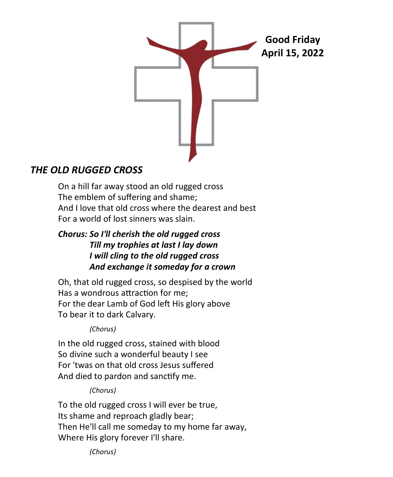

## *THE OLD RUGGED CROSS*

On a hill far away stood an old rugged cross The emblem of suffering and shame; And I love that old cross where the dearest and best For a world of lost sinners was slain.

### *Chorus: So I'll cherish the old rugged cross Till my trophies at last I lay down I will cling to the old rugged cross And exchange it someday for a crown*

Oh, that old rugged cross, so despised by the world Has a wondrous attraction for me; For the dear Lamb of God left His glory above To bear it to dark Calvary.

*(Chorus)*

In the old rugged cross, stained with blood So divine such a wonderful beauty I see For 'twas on that old cross Jesus suffered And died to pardon and sanctify me.

*(Chorus)*

To the old rugged cross I will ever be true, Its shame and reproach gladly bear; Then He'll call me someday to my home far away, Where His glory forever I'll share.

*(Chorus)*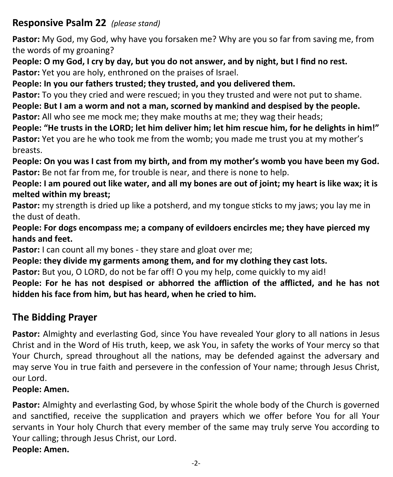# **Responsive Psalm 22** *(please stand)*

**Pastor:** My God, my God, why have you forsaken me? Why are you so far from saving me, from the words of my groaning?

**People: O my God, I cry by day, but you do not answer, and by night, but I find no rest. Pastor:** Yet you are holy, enthroned on the praises of Israel.

**People: In you our fathers trusted; they trusted, and you delivered them.**

**Pastor:** To you they cried and were rescued; in you they trusted and were not put to shame.

**People: But I am a worm and not a man, scorned by mankind and despised by the people.**

**Pastor:** All who see me mock me; they make mouths at me; they wag their heads;

**People: "He trusts in the LORD; let him deliver him; let him rescue him, for he delights in him!" Pastor:** Yet you are he who took me from the womb; you made me trust you at my mother's breasts.

**People: On you was I cast from my birth, and from my mother's womb you have been my God.** Pastor: Be not far from me, for trouble is near, and there is none to help.

**People: I am poured out like water, and all my bones are out of joint; my heart is like wax; it is melted within my breast;**

**Pastor:** my strength is dried up like a potsherd, and my tongue sticks to my jaws; you lay me in the dust of death.

**People: For dogs encompass me; a company of evildoers encircles me; they have pierced my hands and feet.**

**Pastor:** I can count all my bones - they stare and gloat over me;

**People: they divide my garments among them, and for my clothing they cast lots.**

**Pastor:** But you, O LORD, do not be far off! O you my help, come quickly to my aid!

**People: For he has not despised or abhorred the affliction of the afflicted, and he has not hidden his face from him, but has heard, when he cried to him.**

# **The Bidding Prayer**

**Pastor:** Almighty and everlasting God, since You have revealed Your glory to all nations in Jesus Christ and in the Word of His truth, keep, we ask You, in safety the works of Your mercy so that Your Church, spread throughout all the nations, may be defended against the adversary and may serve You in true faith and persevere in the confession of Your name; through Jesus Christ, our Lord.

## **People: Amen.**

**Pastor:** Almighty and everlasting God, by whose Spirit the whole body of the Church is governed and sanctified, receive the supplication and prayers which we offer before You for all Your servants in Your holy Church that every member of the same may truly serve You according to Your calling; through Jesus Christ, our Lord. **People: Amen.**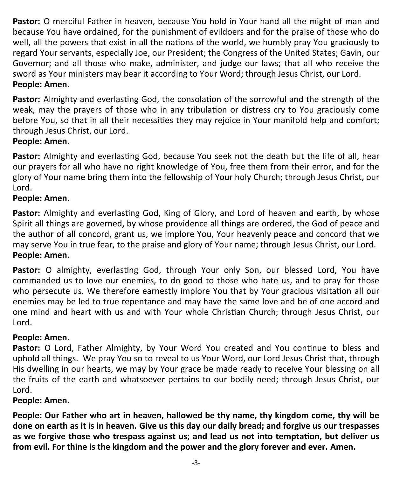**Pastor:** O merciful Father in heaven, because You hold in Your hand all the might of man and because You have ordained, for the punishment of evildoers and for the praise of those who do well, all the powers that exist in all the nations of the world, we humbly pray You graciously to regard Your servants, especially Joe, our President; the Congress of the United States; Gavin, our Governor; and all those who make, administer, and judge our laws; that all who receive the sword as Your ministers may bear it according to Your Word; through Jesus Christ, our Lord. **People: Amen.**

**Pastor:** Almighty and everlasting God, the consolation of the sorrowful and the strength of the weak, may the prayers of those who in any tribulation or distress cry to You graciously come before You, so that in all their necessities they may rejoice in Your manifold help and comfort; through Jesus Christ, our Lord.

### **People: Amen.**

**Pastor:** Almighty and everlasting God, because You seek not the death but the life of all, hear our prayers for all who have no right knowledge of You, free them from their error, and for the glory of Your name bring them into the fellowship of Your holy Church; through Jesus Christ, our Lord.

#### **People: Amen.**

**Pastor:** Almighty and everlasting God, King of Glory, and Lord of heaven and earth, by whose Spirit all things are governed, by whose providence all things are ordered, the God of peace and the author of all concord, grant us, we implore You, Your heavenly peace and concord that we may serve You in true fear, to the praise and glory of Your name; through Jesus Christ, our Lord. **People: Amen.**

Pastor: O almighty, everlasting God, through Your only Son, our blessed Lord, You have commanded us to love our enemies, to do good to those who hate us, and to pray for those who persecute us. We therefore earnestly implore You that by Your gracious visitation all our enemies may be led to true repentance and may have the same love and be of one accord and one mind and heart with us and with Your whole Christian Church; through Jesus Christ, our Lord.

#### **People: Amen.**

**Pastor:** O Lord, Father Almighty, by Your Word You created and You continue to bless and uphold all things. We pray You so to reveal to us Your Word, our Lord Jesus Christ that, through His dwelling in our hearts, we may by Your grace be made ready to receive Your blessing on all the fruits of the earth and whatsoever pertains to our bodily need; through Jesus Christ, our Lord.

#### **People: Amen.**

**People: Our Father who art in heaven, hallowed be thy name, thy kingdom come, thy will be done on earth as it is in heaven. Give us this day our daily bread; and forgive us our trespasses as we forgive those who trespass against us; and lead us not into temptation, but deliver us from evil. For thine is the kingdom and the power and the glory forever and ever. Amen.**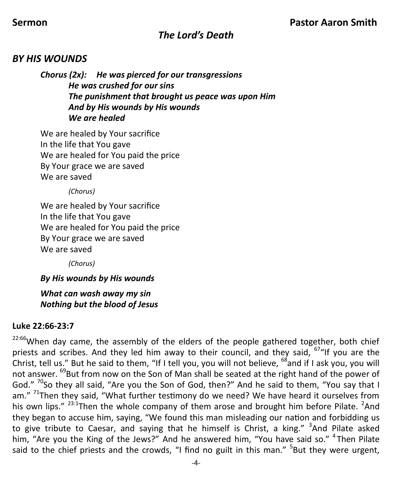## *The Lord's Death*

## *BY HIS WOUNDS*

*Chorus (2x): He was pierced for our transgressions He was crushed for our sins The punishment that brought us peace was upon Him And by His wounds by His wounds We are healed*

We are healed by Your sacrifice In the life that You gave We are healed for You paid the price By Your grace we are saved We are saved

*(Chorus)*

We are healed by Your sacrifice In the life that You gave We are healed for You paid the price By Your grace we are saved We are saved

*(Chorus)*

*By His wounds by His wounds*

*What can wash away my sin Nothing but the blood of Jesus*

#### **Luke 22:66-23:7**

 $22:66$ When dav came, the assembly of the elders of the people gathered together, both chief priests and scribes. And they led him away to their council, and they said,  $67$ "If you are the Christ, tell us." But he said to them, "If I tell you, you will not believe,  $^{68}$  and if I ask you, you will not answer. <sup>69</sup>But from now on the Son of Man shall be seated at the right hand of the power of God." <sup>70</sup>So they all said, "Are you the Son of God, then?" And he said to them, "You say that I am."  $71$ Then they said, "What further testimony do we need? We have heard it ourselves from his own lips."  $^{23:1}$ Then the whole company of them arose and brought him before Pilate.  $^{2}$ And they began to accuse him, saying, "We found this man misleading our nation and forbidding us to give tribute to Caesar, and saying that he himself is Christ, a king." <sup>3</sup>And Pilate asked him, "Are you the King of the Jews?" And he answered him, "You have said so." <sup>4</sup> Then Pilate said to the chief priests and the crowds, "I find no guilt in this man." <sup>5</sup>But they were urgent,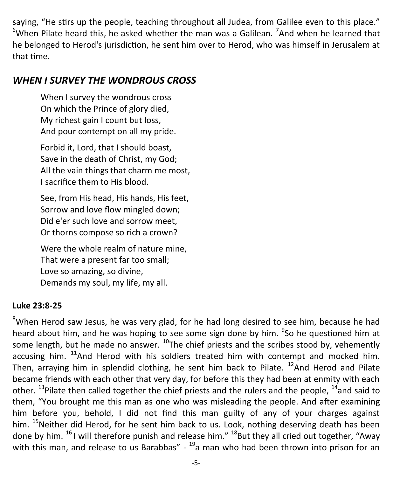saying, "He stirs up the people, teaching throughout all Judea, from Galilee even to this place."  $6$ When Pilate heard this, he asked whether the man was a Galilean. <sup>7</sup>And when he learned that he belonged to Herod's jurisdiction, he sent him over to Herod, who was himself in Jerusalem at that time.

## *WHEN I SURVEY THE WONDROUS CROSS*

When I survey the wondrous cross On which the Prince of glory died, My richest gain I count but loss, And pour contempt on all my pride.

Forbid it, Lord, that I should boast, Save in the death of Christ, my God; All the vain things that charm me most, I sacrifice them to His blood.

See, from His head, His hands, His feet, Sorrow and love flow mingled down; Did e'er such love and sorrow meet, Or thorns compose so rich a crown?

Were the whole realm of nature mine, That were a present far too small; Love so amazing, so divine, Demands my soul, my life, my all.

#### **Luke 23:8-25**

<sup>8</sup>When Herod saw Jesus, he was very glad, for he had long desired to see him, because he had heard about him, and he was hoping to see some sign done by him. <sup>9</sup>So he questioned him at some length, but he made no answer.  $^{10}$ The chief priests and the scribes stood by, vehemently accusing him.  $11$ And Herod with his soldiers treated him with contempt and mocked him. Then, arraying him in splendid clothing, he sent him back to Pilate.  $12$ And Herod and Pilate became friends with each other that very day, for before this they had been at enmity with each other. <sup>13</sup>Pilate then called together the chief priests and the rulers and the people. <sup>14</sup>and said to them, "You brought me this man as one who was misleading the people. And after examining him before you, behold, I did not find this man guilty of any of your charges against him. <sup>15</sup>Neither did Herod, for he sent him back to us. Look, nothing deserving death has been done by him.  $^{16}$  I will therefore punish and release him."  $^{18}$ But they all cried out together, "Away with this man, and release to us Barabbas" - <sup>19</sup>a man who had been thrown into prison for an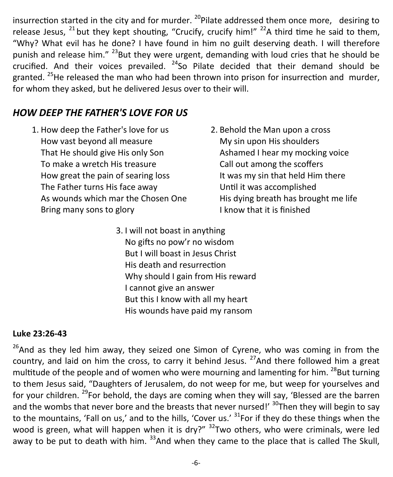insurrection started in the city and for murder.  $^{20}$ Pilate addressed them once more, desiring to release Jesus, <sup>21</sup> but they kept shouting, "Crucify, crucify him!" <sup>22</sup>A third time he said to them, "Why? What evil has he done? I have found in him no guilt deserving death. I will therefore punish and release him."  $^{23}$ But they were urgent, demanding with loud cries that he should be crucified. And their voices prevailed.  $24$ So Pilate decided that their demand should be granted. <sup>25</sup>He released the man who had been thrown into prison for insurrection and murder, for whom they asked, but he delivered Jesus over to their will.

# *HOW DEEP THE FATHER'S LOVE FOR US*

- 1. How deep the Father's love for us How vast beyond all measure That He should give His only Son To make a wretch His treasure How great the pain of searing loss The Father turns His face away As wounds which mar the Chosen One Bring many sons to glory
- 2. Behold the Man upon a cross My sin upon His shoulders Ashamed I hear my mocking voice Call out among the scoffers It was my sin that held Him there Until it was accomplished His dying breath has brought me life I know that it is finished
- 3. I will not boast in anything No gifts no pow'r no wisdom But I will boast in Jesus Christ His death and resurrection Why should I gain from His reward I cannot give an answer But this I know with all my heart His wounds have paid my ransom

#### **Luke 23:26-43**

 $26$ And as they led him away, they seized one Simon of Cyrene, who was coming in from the country, and laid on him the cross, to carry it behind Jesus.  $27$  And there followed him a great multitude of the people and of women who were mourning and lamenting for him.  $^{28}$ But turning to them Jesus said, "Daughters of Jerusalem, do not weep for me, but weep for yourselves and for your children.  $^{29}$ For behold, the days are coming when they will say, 'Blessed are the barren and the wombs that never bore and the breasts that never nursed!'  $30$ Then they will begin to say to the mountains, 'Fall on us,' and to the hills, 'Cover us.' <sup>31</sup>For if they do these things when the wood is green, what will happen when it is dry?"  $32$ Two others, who were criminals, were led away to be put to death with him.  $33$ And when they came to the place that is called The Skull,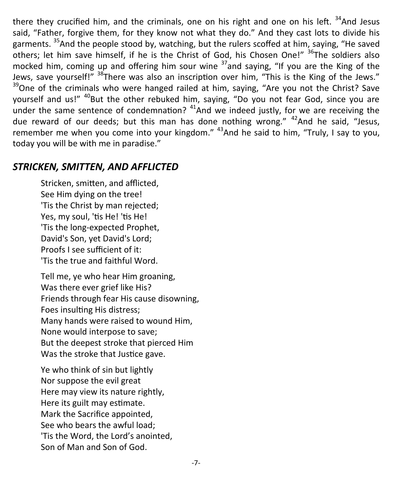there they crucified him, and the criminals, one on his right and one on his left.  $34$ And Jesus said, "Father, forgive them, for they know not what they do." And they cast lots to divide his garments. <sup>35</sup>And the people stood by, watching, but the rulers scoffed at him, saying, "He saved others; let him save himself, if he is the Christ of God, his Chosen One!" <sup>36</sup>The soldiers also mocked him, coming up and offering him sour wine  $37$  and saying, "If you are the King of the Jews, save yourself!" <sup>38</sup>There was also an inscription over him, "This is the King of the Jews." <sup>39</sup>One of the criminals who were hanged railed at him, saying, "Are you not the Christ? Save yourself and us!"  $40$ But the other rebuked him, saying, "Do you not fear God, since you are under the same sentence of condemnation?  $41$ And we indeed justly, for we are receiving the due reward of our deeds; but this man has done nothing wrong."  $42$ And he said, "Jesus, remember me when you come into your kingdom." <sup>43</sup>And he said to him, "Truly, I say to you, today you will be with me in paradise."

## *STRICKEN, SMITTEN, AND AFFLICTED*

Stricken, smitten, and afflicted, See Him dying on the tree! 'Tis the Christ by man rejected; Yes, my soul, 'tis He! 'tis He! 'Tis the long-expected Prophet, David's Son, yet David's Lord; Proofs I see sufficient of it: 'Tis the true and faithful Word.

Tell me, ye who hear Him groaning, Was there ever grief like His? Friends through fear His cause disowning, Foes insulting His distress; Many hands were raised to wound Him, None would interpose to save; But the deepest stroke that pierced Him Was the stroke that Justice gave.

Ye who think of sin but lightly Nor suppose the evil great Here may view its nature rightly, Here its guilt may estimate. Mark the Sacrifice appointed, See who bears the awful load; 'Tis the Word, the Lord's anointed, Son of Man and Son of God.